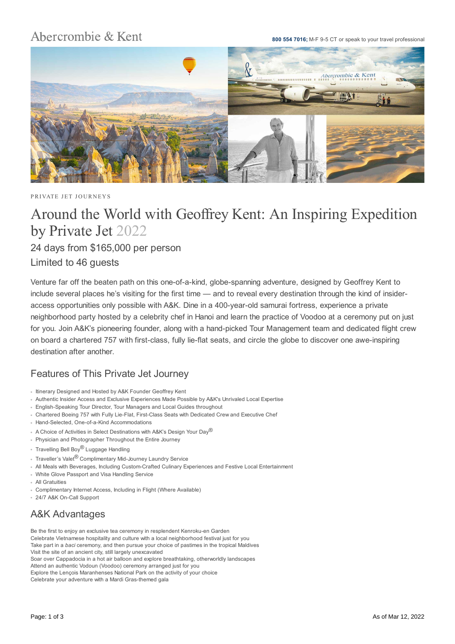## Abercrombie & Kent

**800 554 7016;** M-F 9-5 CT or speak to your travel professional



PRIVATE JET JOURNEYS

# Around the World with Geoffrey Kent: An Inspiring Expedition by Private Jet 2022

24 days from \$165,000 per person

### Limited to 46 guests

Venture far off the beaten path on this one-of-a-kind, globe-spanning adventure, designed by Geoffrey Kent to include several places he's visiting for the first time — and to reveal every destination through the kind of insideraccess opportunities only possible with A&K. Dine in a 400-year-old samurai fortress, experience a private neighborhood party hosted by a celebrity chef in Hanoi and learn the practice of Voodoo at a ceremony put on just for you. Join A&K's pioneering founder, along with a hand-picked Tour Management team and dedicated flight crew on board a chartered 757 with first-class, fully lie-flat seats, and circle the globe to discover one awe-inspiring destination after another.

### Features of This Private Jet Journey

- Itinerary Designed and Hosted by A&K Founder Geoffrey Kent
- Authentic Insider Access and Exclusive Experiences Made Possible by A&K's Unrivaled Local Expertise
- English-Speaking Tour Director, Tour Managers and Local Guides throughout
- Chartered Boeing 757 with Fully Lie-Flat, First-Class Seats with Dedicated Crew and Executive Chef
- Hand-Selected, One-of-a-Kind Accommodations
- A Choice of Activities in Select Destinations with A&K's Design Your Day®
- Physician and Photographer Throughout the Entire Journey
- Travelling Bell Boy<sup>®</sup> Luggage Handling
- Traveller's Valet® Complimentary Mid-Journey Laundry Service
- All Meals with Beverages, Including Custom-Crafted Culinary Experiences and Festive Local Entertainment
- White Glove Passport and Visa Handling Service
- All Gratuities
- Complimentary Internet Access, Including in Flight (Where Available)
- 24/7 A&K On-Call Support

## A&K Advantages

Be the first to enjoy an exclusive tea ceremony in resplendent Kenroku-en Garden Celebrate Vietnamese hospitality and culture with a local neighborhood festival just for you Take part in a *baci* ceremony, and then pursue your choice of pastimes in the tropical Maldives Visit the site of an ancient city, still largely unexcavated Soar over Cappadocia in a hot air balloon and explore breathtaking, otherworldly landscapes Attend an authentic Vodoun (Voodoo) ceremony arranged just for you Explore the Lençois Maranhenses National Park on the activity of your choice Celebrate your adventure with a Mardi Gras-themed gala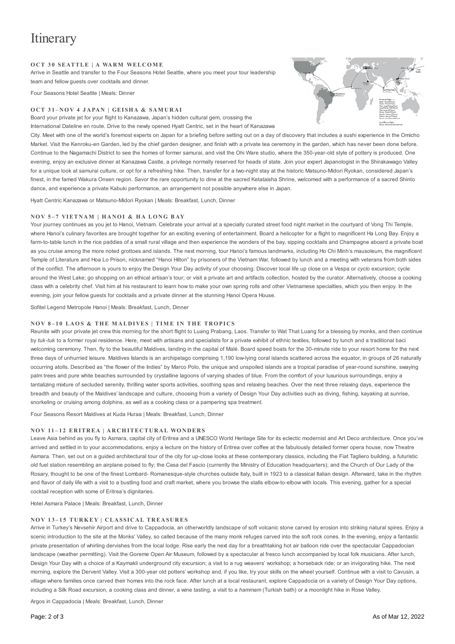# **Itinerary**

#### **O C T 3 0 SEATTLE | A WA RM WELCO M E**

Arrive in Seattle and transfer to the Four Seasons Hotel Seattle, where you meet your tour leadership team and fellow guests over cocktails and dinner.

Four Seasons Hotel Seattle | Meals: Dinner

#### **O C T 3 1 – NO V 4 J A PA N | GEI SH A & SAM U R A I**

Board your private jet for your flight to Kanazawa, Japan's hidden cultural gem, crossing the International Dateline en route. Drive to the newly opened Hyatt Centric, set in the heart of Kanazawa

City. Meet with one of the world's foremost experts on Japan for a briefing before setting out on a day of discovery that includes a sushi experience in the Omicho Market. Visit the Kenroku-en Garden, led by the chief garden designer, and finish with a private tea ceremony in the garden, which has never been done before. Continue to the Nagamachi District to see the homes of former samurai, and visit the Ohi Ware studio, where the 350-year-old style of pottery is produced. One evening, enjoy an exclusive dinner at Kanazawa Castle, a privilege normally reserved for heads of state. Join your expert Japanologist in the Shirakawago Valley for a unique look at samurai culture, or opt for a refreshing hike. Then, transfer for a two-night stay at the historic Matsuno-Midori Ryokan, considered Japan's finest, in the famed Wakura Onsen region. Savor the rare opportunity to dine at the sacred Ketataisha Shrine, welcomed with a performance of a sacred Shinto dance, and experience a private Kabuki performance, an arrangement not possible anywhere else in Japan.

Hyatt Centric Kanazawa or Matsuno-Midori Ryokan | Meals: Breakfast, Lunch, Dinner

#### **NO V 5 – 7 VIETN AM | H A NO I & H A LO NG B AY**

Your journey continues as you jet to Hanoi, Vietnam. Celebrate your arrival at a specially curated street food night market in the courtyard of Vong Thi Temple, where Hanoi's culinary favorites are brought together for an exciting evening of entertainment. Board a helicopter for a flight to magnificent Ha Long Bay. Enjoy a farm-to-table lunch in the rice paddies of a small rural village and then experience the wonders of the bay, sipping cocktails and Champagne aboard a private boat as you cruise among the more noted grottoes and islands. The next morning, tour Hanoi's famous landmarks, including Ho Chi Minh's mausoleum, the magnificent Temple of Literature and Hoa Lo Prison, nicknamed "Hanoi Hilton" by prisoners of the Vietnam War, followed by lunch and a meeting with veterans from both sides of the conflict. The afternoon is yours to enjoy the Design Your Day activity of your choosing: Discover local life up close on a Vespa or *cyclo* excursion; cycle around the West Lake; go shopping on an ethical artisan's tour; or visit a private art and artifacts collection, hosted by the curator. Alternatively, choose a cooking class with a celebrity chef. Visit him at his restaurant to learn how to make your own spring rolls and other Vietnamese specialties, which you then enjoy. In the evening, join your fellow guests for cocktails and a private dinner at the stunning Hanoi Opera House.

Sofitel Legend Metropole Hanoi | Meals: Breakfast, Lunch, Dinner

#### **NOV 8-10 LAOS & THE MALDIVES | TIME IN THE TROPICS**

Reunite with your private jet crew this morning for the short flight to Luang Prabang, Laos. Transfer to Wat That Luang for a blessing by monks, and then continue by tuk-tuk to a former royal residence. Here, meet with artisans and specialists for a private exhibit of ethnic textiles, followed by lunch and a traditional baci welcoming ceremony. Then, fly to the beautiful Maldives, landing in the capital of Malé. Board speed boats for the 30-minute ride to your resort home for the next three days of unhurried leisure. Maldives Islands is an archipelago comprising 1,190 low-lying coral islands scattered across the equator, in groups of 26 naturally occurring atolls. Described as "the flower of the Indies" by Marco Polo, the unique and unspoiled islands are a tropical paradise of year-round sunshine, swaying palm trees and pure white beaches surrounded by crystalline lagoons of varying shades of blue. From the comfort of your luxurious surroundings, enjoy a tantalizing mixture of secluded serenity, thrilling water sports activities, soothing spas and relaxing beaches. Over the next three relaxing days, experience the breadth and beauty of the Maldives' landscape and culture, choosing from a variety of Design Your Day activities such as diving, fishing, kayaking at sunrise, snorkeling or cruising among dolphins, as well as a cooking class or a pampering spa treatment.

Four Seasons Resort Maldives at Kuda Huraa | Meals: Breakfast, Lunch, Dinner

#### **NO V 11 – 1 2 ER ITR EA | A R CH ITEC TU R A L WO N D ER S**

Leave Asia behind as you fly to Asmara, capital city of Eritrea and a UNESCO World Heritage Site for its eclectic modernist and Art Deco architecture. Once you've arrived and settled in to your accommodations, enjoy a lecture on the history of Eritrea over coffee at the fabulously detailed former opera house, now Theatre Asmara. Then, set out on a guided architectural tour of the city for up-close looks at these contemporary classics, including the Fiat Tagliero building, a futuristic old fuel station resembling an airplane poised to fly; the Casa del Fascio (currently the Ministry of Education headquarters); and the Church of Our Lady of the Rosary, thought to be one of the finest Lombard- Romanesque-style churches outside Italy, built in 1923 to a classical Italian design. Afterward, take in the rhythm and flavor of daily life with a visit to a bustling food and craft market, where you browse the stalls elbow-to-elbow with locals. This evening, gather for a special cocktail reception with some of Eritrea's dignitaries.

Hotel Asmara Palace | Meals: Breakfast, Lunch, Dinner

#### **NO V 1 3 – 1 5 TU RK EY | C LA SSI C A L TR EA SU R ES**

Arrive in Turkey's Nevsehir Airport and drive to Cappadocia, an otherworldly landscape of soft volcanic stone carved by erosion into striking natural spires. Enjoy a scenic introduction to the site at the Monks' Valley, so called because of the many monk refuges carved into the soft rock cones. In the evening, enjoy a fantastic private presentation of whirling dervishes from the local lodge. Rise early the next day for a breathtaking hot air balloon ride over the spectacular Cappadocian landscape (weather permitting). Visit the Goreme Open Air Museum, followed by a spectacular al fresco lunch accompanied by local folk musicians. After lunch, Design Your Day with a choice of a Kaymakli underground city excursion; a visit to a rug weavers' workshop; a horseback ride; or an invigorating hike. The next morning, explore the Dervent Valley. Visit a 300-year old potters' workshop and, if you like, try your skills on the wheel yourself. Continue with a visit to Cavusin, a village where families once carved their homes into the rock face. After lunch at a local restaurant, explore Cappadocia on a variety of Design Your Day options, including a Silk Road excursion, a cooking class and dinner, a wine tasting, a visit to a *hammam* (Turkish bath) or a moonlight hike in Rose Valley.

Argos in Cappadocia | Meals: Breakfast, Lunch, Dinner